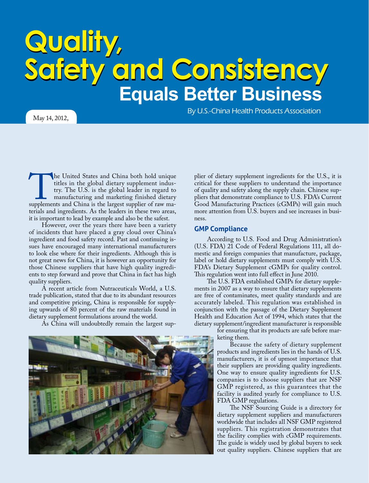# **Quality, Quality, Safety and Consistency Safety and Consistency Equals Better Business**

May 14, 2012,

By U.S.-China Health Products Association

The United States and China both hold unique<br>titles in the global dietary supplement indus-<br>try. The U.S. is the global leader in regard to<br>manufacturing and marketing finished dietary<br>supplements and China is the largest titles in the global dietary supplement industry. The U.S. is the global leader in regard to manufacturing and marketing finished dietary supplements and China is the largest supplier of raw materials and ingredients. As the leaders in these two areas, it is important to lead by example and also be the safest.

However, over the years there have been a variety of incidents that have placed a gray cloud over China's ingredient and food safety record. Past and continuing issues have encouraged many international manufacturers to look else where for their ingredients. Although this is not great news for China, it is however an opportunity for those Chinese suppliers that have high quality ingredients to step forward and prove that China in fact has high quality suppliers.

A recent article from Nutraceuticals World, a U.S. trade publication, stated that due to its abundant resources and competitive pricing, China is responsible for supplying upwards of 80 percent of the raw materials found in dietary supplement formulations around the world.

As China will undoubtedly remain the largest sup-



plier of dietary supplement ingredients for the U.S., it is critical for these suppliers to understand the importance of quality and safety along the supply chain. Chinese suppliers that demonstrate compliance to U.S. FDA's Current Good Manufacturing Practices (cGMPs) will gain much more attention from U.S. buyers and see increases in business.

# **GMP Compliance**

According to U.S. Food and Drug Administration's (U.S. FDA) 21 Code of Federal Regulations 111, all domestic and foreign companies that manufacture, package, label or hold dietary supplements must comply with U.S. FDA's Dietary Supplement cGMPs for quality control. This regulation went into full effect in June 2010.

The U.S. FDA established GMPs for dietary supplements in 2007 as a way to ensure that dietary supplements are free of contaminates, meet quality standards and are accurately labeled. This regulation was established in conjunction with the passage of the Dietary Supplement Health and Education Act of 1994, which states that the dietary supplement/ingredient manufacturer is responsible

for ensuring that its products are safe before marketing them.

Because the safety of dietary supplement products and ingredients lies in the hands of U.S. manufacturers, it is of upmost importance that their suppliers are providing quality ingredients. One way to ensure quality ingredients for U.S. companies is to choose suppliers that are NSF GMP registered, as this guarantees that the facility is audited yearly for compliance to U.S. FDA GMP regulations.

The NSF Sourcing Guide is a directory for dietary supplement suppliers and manufacturers worldwide that includes all NSF GMP registered suppliers. This registration demonstrates that the facility complies with cGMP requirements. The guide is widely used by global buyers to seek out quality suppliers. Chinese suppliers that are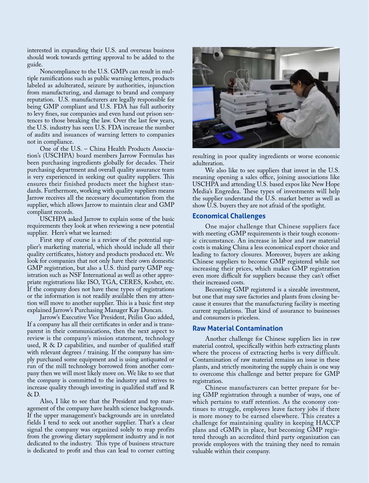interested in expanding their U.S. and overseas business should work towards getting approval to be added to the guide.

Noncompliance to the U.S. GMPs can result in multiple ramifications such as public warning letters, products labeled as adulterated, seizure by authorities, injunction from manufacturing, and damage to brand and company reputation. U.S. manufacturers are legally responsible for being GMP compliant and U.S. FDA has full authority to levy fines, sue companies and even hand out prison sentences to those breaking the law. Over the last few years, the U.S. industry has seen U.S. FDA increase the number of audits and issuances of warning letters to companies not in compliance.

One of the U.S. – China Health Products Association's (USCHPA) board members Jarrow Formulas has been purchasing ingredients globally for decades. Their purchasing department and overall quality assurance team is very experienced in seeking out quality suppliers. This ensures their finished products meet the highest standards. Furthermore, working with quality suppliers means Jarrow receives all the necessary documentation from the supplier, which allows Jarrow to maintain clear and GMP compliant records.

USCHPA asked Jarrow to explain some of the basic requirements they look at when reviewing a new potential supplier. Here's what we learned:

First step of course is a review of the potential supplier's marketing material, which should include all their quality certificates, history and products produced etc. We look for companies that not only have their own domestic GMP registration, but also a U.S. third party GMP registration such as NSF International as well as other appropriate registrations like ISO, TGA, CERES, Kosher, etc. If the company does not have these types of registrations or the information is not readily available then my attention will move to another supplier. This is a basic first step explained Jarrow's Purchasing Manager Kay Duncan.

Jarrow's Executive Vice President, Peilin Guo added, If a company has all their certificates in order and is transparent in their communications, then the next aspect to review is the company's mission statement, technology used, R & D capabilities, and number of qualified staff with relevant degrees / training. If the company has simply purchased some equipment and is using antiquated or run of the mill technology borrowed from another company then we will most likely move on. We like to see that the company is committed to the industry and strives to increase quality through investing in qualified staff and R & D.

Also, I like to see that the President and top management of the company have health science backgrounds. If the upper management's backgrounds are in unrelated fields I tend to seek out another supplier. That's a clear signal the company was organized solely to reap profits from the growing dietary supplement industry and is not dedicated to the industry. This type of business structure is dedicated to profit and thus can lead to corner cutting



resulting in poor quality ingredients or worse economic adulteration.

We also like to see suppliers that invest in the U.S. meaning opening a sales office, joining associations like USCHPA and attending U.S. based expos like New Hope Media's Engredea. These types of investments will help the supplier understand the U.S. market better as well as show U.S. buyers they are not afraid of the spotlight.

# **Economical Challenges**

One major challenge that Chinese suppliers face with meeting cGMP requirements is their tough economic circumstance. An increase in labor and raw material costs is making China a less economical export choice and leading to factory closures. Moreover, buyers are asking Chinese suppliers to become GMP registered while not increasing their prices, which makes GMP registration even more difficult for suppliers because they can't offset their increased costs.

Becoming GMP registered is a sizeable investment, but one that may save factories and plants from closing because it ensures that the manufacturing facility is meeting current regulations. That kind of assurance to businesses and consumers is priceless.

# **Raw Material Contamination**

Another challenge for Chinese suppliers lies in raw material control, specifically within herb extracting plants where the process of extracting herbs is very difficult. Contamination of raw material remains an issue in these plants, and strictly monitoring the supply chain is one way to overcome this challenge and better prepare for GMP registration.

Chinese manufacturers can better prepare for being GMP registration through a number of ways, one of which pertains to staff retention. As the economy continues to struggle, employees leave factory jobs if there is more money to be earned elsewhere. This creates a challenge for maintaining quality in keeping HACCP plans and cGMPs in place, but becoming GMP registered through an accredited third party organization can provide employees with the training they need to remain valuable within their company.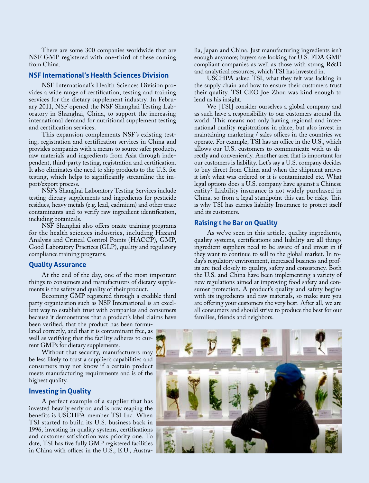There are some 300 companies worldwide that are NSF GMP registered with one-third of these coming from China.

# **NSF International's Health Sciences Division**

NSF International's Health Sciences Division provides a wide range of certification, testing and training services for the dietary supplement industry. In February 2011, NSF opened the NSF Shanghai Testing Laboratory in Shanghai, China, to support the increasing international demand for nutritional supplement testing and certification services.

This expansion complements NSF's existing testing, registration and certification services in China and provides companies with a means to source safer products, raw materials and ingredients from Asia through independent, third-party testing, registration and certification. It also eliminates the need to ship products to the U.S. for testing, which helps to significantly streamline the import/export process.

NSF's Shanghai Laboratory Testing Services include testing dietary supplements and ingredients for pesticide residues, heavy metals (e.g. lead, cadmium) and other trace contaminants and to verify raw ingredient identification, including botanicals.

NSF Shanghai also offers onsite training programs for the health sciences industries, including Hazard Analysis and Critical Control Points (HACCP), GMP, Good Laboratory Practices (GLP), quality and regulatory compliance training programs.

#### **Quality Assurance**

At the end of the day, one of the most important things to consumers and manufacturers of dietary supplements is the safety and quality of their product.

Becoming GMP registered through a credible third party organization such as NSF International is an excellent way to establish trust with companies and consumers because it demonstrates that a product's label claims have been verified, that the product has been formu-

lated correctly, and that it is contaminant free, as well as verifying that the facility adheres to current GMPs for dietary supplements.

Without that security, manufacturers may be less likely to trust a supplier's capabilities and consumers may not know if a certain product meets manufacturing requirements and is of the highest quality.

#### **Investing in Quality**

A perfect example of a supplier that has invested heavily early on and is now reaping the benefits is USCHPA member TSI Inc. When TSI started to build its U.S. business back in 1996, investing in quality systems, certifications and customer satisfaction was priority one. To date, TSI has five fully GMP registered facilities in China with offices in the U.S., E.U., Australia, Japan and China. Just manufacturing ingredients isn't enough anymore; buyers are looking for U.S. FDA GMP compliant companies as well as those with strong R&D and analytical resources, which TSI has invested in.

USCHPA asked TSI, what they felt was lacking in the supply chain and how to ensure their customers trust their quality. TSI CEO Joe Zhou was kind enough to lend us his insight.

We [TSI] consider ourselves a global company and as such have a responsibility to our customers around the world. This means not only having regional and international quality registrations in place, but also invest in maintaining marketing / sales offices in the countries we operate. For example, TSI has an office in the U.S., which allows our U.S. customers to communicate with us directly and conveniently. Another area that is important for our customers is liability. Let's say a U.S. company decides to buy direct from China and when the shipment arrives it isn't what was ordered or it is contaminated etc. What legal options does a U.S. company have against a Chinese entity? Liability insurance is not widely purchased in China, so from a legal standpoint this can be risky. This is why TSI has carries liability Insurance to protect itself and its customers.

#### **Raising t he Bar on Quality**

As we've seen in this article, quality ingredients, quality systems, certifications and liability are all things ingredient suppliers need to be aware of and invest in if they want to continue to sell to the global market. In today's regulatory environment, increased business and profits are tied closely to quality, safety and consistency. Both the U.S. and China have been implementing a variety of new regulations aimed at improving food safety and consumer protection. A product's quality and safety begins with its ingredients and raw materials, so make sure you are offering your customers the very best. After all, we are all consumers and should strive to produce the best for our families, friends and neighbors.

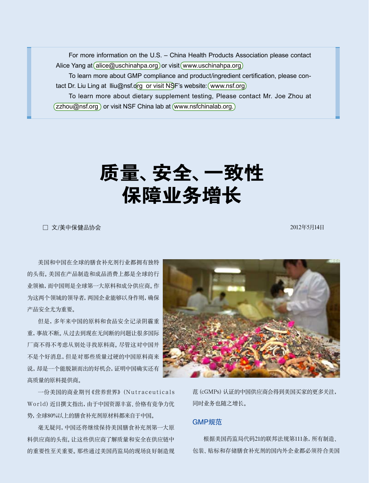For more information on the U.S. – China Health Products Association please contact Alice Yang at alice@uschinahpa.org or visit www.uschinahpa.org

To learn more about GMP compliance and product/ingredient certification, please contact Dr. Liu Ling at Iliu@nsf.org or visit NSF's website: (www.nsf.org)

To learn more about dietary supplement testing, Please contact Mr. Joe Zhou at (zzhou@nsf.org) or visit NSF China lab at www.nsfchinalab.org.)

# 质量、安全、一致性 保障业务增长

□ 文/美中保健品协会 2012年5月14日 2012年5月14日 2012年5月14日 2012年5月14日 2012年5月14日 2012年5月14日 2012年5月14日 2012年5月14日 2012年5月14日

美国和中国在全球的膳食补充剂行业都拥有独特 的头衔。美国在产品制造和成品消费上都是全球的行 业领袖,而中国则是全球第一大原料和成分供应商。作 为这两个领域的领导者,两国企业能够以身作则,确保 产品安全尤为重要。

但是,多年来中国的原料和食品安全记录阴霾重 重,事故不断。从过去到现在无间断的问题让很多国际 厂商不得不考虑从别处寻找原料商。尽管这对中国并 不是个好消息,但是对那些质量过硬的中国原料商来 说,却是一个能脱颖而出的好机会,证明中国确实还有 高质量的原料提供商。

一份美国的商业期刊《营养世界》(Nutraceuticals World) 近日撰文指出,由于中国资源丰富、价格有竞争力优 势,全球80%以上的膳食补充剂原材料都来自于中国。

毫无疑问,中国还将继续保持美国膳食补充剂第一大原 料供应商的头衔。让这些供应商了解质量和安全在供应链中 的重要性至关重要。那些通过美国药监局的现场良好制造规



范(cGMPs)认证的中国供应商会得到美国买家的更多关注, 同时业务也随之增长。

# GMP规范

根据美国药监局代码21的联邦法规第111条,所有制造、 包装、贴标和存储膳食补充剂的国内外企业都必须符合美国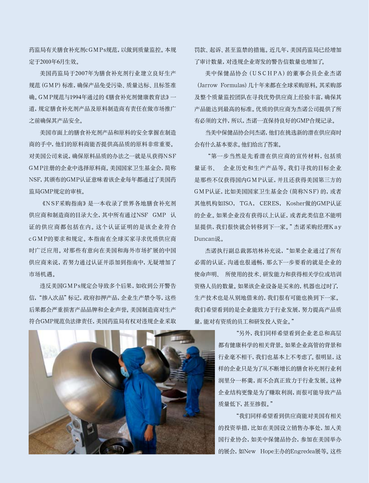药监局有关膳食补充剂c G M P s规范, 以做到质量监控。本规 定于2010年6月生效。

美国药监局于2007年为膳食补充剂行业建立良好生产 规范(GMP)标准, 确保产品免受污染、质量达标、目标签准 确。GM P规范与1994年通过的《膳食补充剂健康教育法》一 道,规定膳食补充剂产品及原料制造商有责任在做市场推广 之前确保其产品安全。

美国市面上的膳食补充剂产品和原料的安全掌握在制造 商的手中,他们的原料商能否提供高品质的原料非常重要。 对美国公司来说,确保原料品质的办法之一就是从获得NSF GM P注册的企业中选择原料商。美国国家卫生基金会,简称 NSF,其颁布的GMP认证意味着该企业每年都通过了美国药 监局GMP规定的审核。

《N S F采购指南》是一本收录了世界各地膳食补充剂 供应商和制造商的目录大全,其中所有通过NSF GMP 认 证的供应商都包括在内。这个认证证明的是该企业符合 c G M P的要求和规定。本指南在全球买家寻求优质供应商 时广泛应用。对那些有意向在美国和海外市场扩展的中国 供应商来说,若努力通过认证并添加到指南中,无疑增加了 市场机遇。

违反美国GM P s规定会导致多个后果,如收到公开警告 信,"掺入次品"标记,政府扣押产品,企业生产禁令等,这些 后果都会严重损害产品品牌和企业声誉。美国制造商对生产 符合GMP规范负法律责任,美国药监局有权对违规企业采取 罚款、起诉、甚至监禁的措施。近几年,美国药监局已经增加 了审计数量,对违规企业寄发的警告信数量也增加了。

美中保健品协会(U S C H PA)的董事会员企业杰诺 (Jarrow Formulas)几十年来都在全球采购原料。其采购部 及整个质量监控团队在寻找优势供应商上经验丰富,确保其 产品能达到最高的标准。优质的供应商为杰诺公司提供了所 有必须的文件,所以,杰诺一直保持良好的GMP合规记录。

当美中保健品协会问杰诺,他们在挑选新的潜在供应商时 会有什么基本要求。他们给出了答案。

"第一步当然是先看潜在供应商的宣传材料,包括质 量证书、 企业历史和生产产品等。我们寻找的目标企业 是那些不仅获得国内GMP认证,并且还获得美国第三方的 GM P认证, 比如美国国家卫生基金会 (简称N S F) 的, 或者 其他机构如ISO, TGA, CERES, Kosher做的GMP认证 的企业。如果企业没有获得以上认证,或者此类信息不能明 显提供,我们很快就会转移到下一家。"杰诺采购经理Kav Duncan说。

杰诺执行副总裁郭培林补充说,"如果企业通过了所有 必需的认证,沟通也很通畅,那么下一步要看的就是企业的 使命声明、 所使用的技术、研发能力和获得相关学位或培训 资格人员的数量。如果该企业设备是买来的,机器也过时了, 生产技术也是从别地借来的,我们很有可能也换到下一家。 我们希望看到的是企业能致力于行业发展,努力提高产品质 量,能对有资质的员工和研发投入资金。"



 "另外,我们同样希望看到企业老总和高层 都有健康科学的相关背景。如果企业高管的背景和 行业毫不相干,我们也基本上不考虑了。很明显,这 样的企业只是为了从不断增长的膳食补充剂行业利 润里分一杯羹,而不会真正致力于行业发展。这种 企业结构更像是为了赚取利润,而很可能导致产品 质量低下,甚至掺假。"

 "我们同样希望看到供应商能对美国有相关 的投资举措,比如在美国设立销售办事处,加入美 国行业协会,如美中保健品协会,参加在美国举办 的展会,如New Hope主办的Engredea展等。这些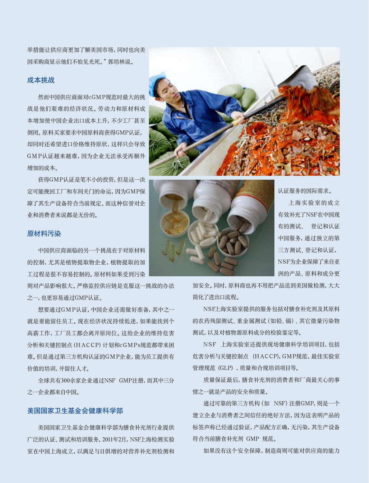举措能让供应商更加了解美国市场,同时也向美 国采购商显示他们不怕见光死。"郭培林说。

# 成本挑战

然而中国供应商面对cGMP规范时最大的挑 战是他们艰难的经济状况。劳动力和原材料成 本增加使中国企业出口成本上升,不少工厂甚至 倒闭。原料买家要求中国原料商获得GMP认证, 却同时还希望进口价格维持原状,这样只会导致 GM P认证越来越难,因为企业无法承受再额外 增加的成本。

获得GMP认证是笔不小的投资,但是这一决 定可能挽回工厂和车间关门的命运,因为GMP保 障了其生产设备符合当前规定。而这种信誉对企 业和消费者来说都是无价的。

# 原材料污染

中国供应商面临的另一个挑战在于对原材料 的控制,尤其是植物提取物企业,植物提取的加 工过程是很不容易控制的。原材料如果受到污染

则对产品影响很大。严格监控供应链是克服这一挑战的办法 之一,也更容易通过GMP认证。

想要通过GM P认证,中国企业还需做好准备,其中之一 就是要能留住员工。现在经济状况持续低迷,如果能找到个 高薪工作,工厂员工都会离开原岗位。这给企业的维持危害 分析和关键控制点(HACCP)计划和c GM P s规范都带来困 难。但是通过第三方机构认证的GM P企业,能为员工提供有 价值的培训,并留住人才。

全球共有300余家企业通过NSF GMP注册,而其中三分 之一企业都来自中国。

# 美国国家卫生基金会健康科学部

美国国家卫生基金会健康科学部为膳食补充剂行业提供 广泛的认证、测试和培训服务。2011年2月,NSF上海检测实验 室在中国上海成立,以满足与日俱增的对营养补充剂检测和





认证服务的国际需求。

上海实验室的成立 有效补充了NSF在中国现 有的测试、 登记和认证 中国服务,通过独立的第 三方测试、登记和认证, NSF为企业保障了来自亚 洲的产品、原料和成分更

加安全。同时,原料商也再不用把产品送到美国做检测,大大 简化了进出口流程。

NSF上海实验室提供的服务包括对膳食补充剂及其原料 的农药残留测试、重金属测试(如铅、镉)、其它微量污染物 测试,以及对植物源原料成分的检验鉴定等。

N SF 上海实验室还提供现场健康科学培训项目,包括 危害分析与关键控制点 (HACCP),GMP规范,最佳实验室 管理规范 (GLP) ,质量和合规培训项目等。

质量保证最后,膳食补充剂的消费者和厂商最关心的事 情之一就是产品的安全和质量。

通过可靠的第三方机构(如 NSF)注册GMP,则是一个 建立企业与消费者之间信任的绝好方法,因为这表明产品的 标签声称已经通过验证,产品配方正确,无污染,其生产设备 符合当前膳食补充剂 GMP 规范。

如果没有这个安全保障,制造商则可能对供应商的能力